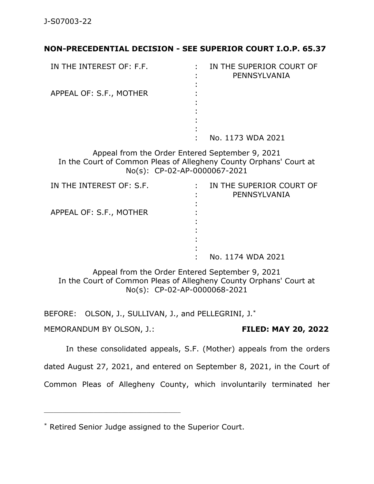## **NON-PRECEDENTIAL DECISION - SEE SUPERIOR COURT I.O.P. 65.37**

| IN THE INTEREST OF: F.F. | IN THE SUPERIOR COURT OF<br>PENNSYLVANIA |
|--------------------------|------------------------------------------|
|                          |                                          |
| APPEAL OF: S.F., MOTHER  |                                          |
|                          |                                          |
|                          |                                          |
|                          |                                          |
|                          |                                          |
|                          | No. 1173 WDA 2021                        |

Appeal from the Order Entered September 9, 2021 In the Court of Common Pleas of Allegheny County Orphans' Court at No(s): CP-02-AP-0000067-2021

| IN THE INTEREST OF: S.F. | IN THE SUPERIOR COURT OF<br>PENNSYLVANIA |
|--------------------------|------------------------------------------|
| APPEAL OF: S.F., MOTHER  |                                          |
|                          | No. 1174 WDA 2021                        |

Appeal from the Order Entered September 9, 2021 In the Court of Common Pleas of Allegheny County Orphans' Court at No(s): CP-02-AP-0000068-2021

BEFORE: OLSON, J., SULLIVAN, J., and PELLEGRINI, J.\*

MEMORANDUM BY OLSON, J.: **FILED: MAY 20, 2022**

\_\_\_\_\_\_\_\_\_\_\_\_\_\_\_\_\_\_\_\_\_\_\_\_\_\_\_\_\_\_\_\_\_\_\_\_\_\_\_\_\_\_\_\_

In these consolidated appeals, S.F. (Mother) appeals from the orders

dated August 27, 2021, and entered on September 8, 2021, in the Court of

Common Pleas of Allegheny County, which involuntarily terminated her

<sup>\*</sup> Retired Senior Judge assigned to the Superior Court.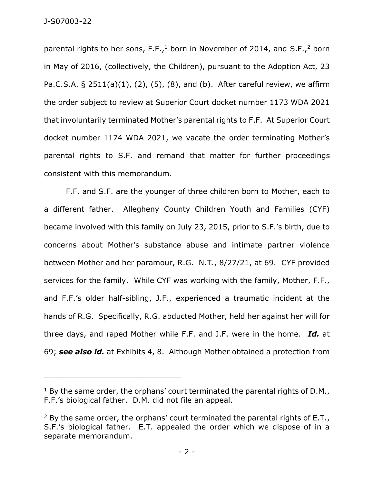parental rights to her sons, F.F.,<sup>1</sup> born in November of 2014, and S.F.,<sup>2</sup> born in May of 2016, (collectively, the Children), pursuant to the Adoption Act, 23 Pa.C.S.A.  $\S$  2511(a)(1), (2), (5), (8), and (b). After careful review, we affirm the order subject to review at Superior Court docket number 1173 WDA 2021 that involuntarily terminated Mother's parental rights to F.F. At Superior Court docket number 1174 WDA 2021, we vacate the order terminating Mother's parental rights to S.F. and remand that matter for further proceedings consistent with this memorandum.

F.F. and S.F. are the younger of three children born to Mother, each to a different father. Allegheny County Children Youth and Families (CYF) became involved with this family on July 23, 2015, prior to S.F.'s birth, due to concerns about Mother's substance abuse and intimate partner violence between Mother and her paramour, R.G. N.T., 8/27/21, at 69. CYF provided services for the family. While CYF was working with the family, Mother, F.F., and F.F.'s older half-sibling, J.F., experienced a traumatic incident at the hands of R.G. Specifically, R.G. abducted Mother, held her against her will for three days, and raped Mother while F.F. and J.F. were in the home. *Id.* at 69; *see also id.* at Exhibits 4, 8.Although Mother obtained a protection from

 $1$  By the same order, the orphans' court terminated the parental rights of D.M., F.F.'s biological father. D.M. did not file an appeal.

 $2$  By the same order, the orphans' court terminated the parental rights of E.T., S.F.'s biological father. E.T. appealed the order which we dispose of in a separate memorandum.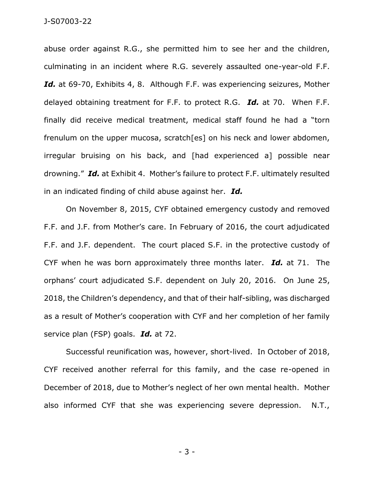abuse order against R.G., she permitted him to see her and the children, culminating in an incident where R.G. severely assaulted one-year-old F.F. Id. at 69-70, Exhibits 4, 8. Although F.F. was experiencing seizures, Mother delayed obtaining treatment for F.F. to protect R.G. *Id.* at 70. When F.F. finally did receive medical treatment, medical staff found he had a "torn frenulum on the upper mucosa, scratch[es] on his neck and lower abdomen, irregular bruising on his back, and [had experienced a] possible near drowning." *Id.* at Exhibit 4. Mother's failure to protect F.F. ultimately resulted in an indicated finding of child abuse against her. *Id.*

On November 8, 2015, CYF obtained emergency custody and removed F.F. and J.F. from Mother's care. In February of 2016, the court adjudicated F.F. and J.F. dependent. The court placed S.F. in the protective custody of CYF when he was born approximately three months later. *Id.* at 71. The orphans' court adjudicated S.F. dependent on July 20, 2016. On June 25, 2018, the Children's dependency, and that of their half-sibling, was discharged as a result of Mother's cooperation with CYF and her completion of her family service plan (FSP) goals. *Id.* at 72.

Successful reunification was, however, short-lived. In October of 2018, CYF received another referral for this family, and the case re-opened in December of 2018, due to Mother's neglect of her own mental health. Mother also informed CYF that she was experiencing severe depression. N.T.,

- 3 -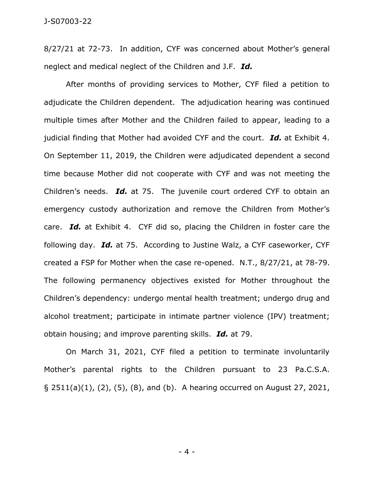8/27/21 at 72-73. In addition, CYF was concerned about Mother's general neglect and medical neglect of the Children and J.F. *Id.* 

After months of providing services to Mother, CYF filed a petition to adjudicate the Children dependent. The adjudication hearing was continued multiple times after Mother and the Children failed to appear, leading to a judicial finding that Mother had avoided CYF and the court. *Id.* at Exhibit 4. On September 11, 2019, the Children were adjudicated dependent a second time because Mother did not cooperate with CYF and was not meeting the Children's needs. *Id.* at 75. The juvenile court ordered CYF to obtain an emergency custody authorization and remove the Children from Mother's care. *Id.* at Exhibit 4. CYF did so, placing the Children in foster care the following day. *Id.* at 75. According to Justine Walz, a CYF caseworker, CYF created a FSP for Mother when the case re-opened. N.T., 8/27/21, at 78-79. The following permanency objectives existed for Mother throughout the Children's dependency: undergo mental health treatment; undergo drug and alcohol treatment; participate in intimate partner violence (IPV) treatment; obtain housing; and improve parenting skills. *Id.* at 79.

On March 31, 2021, CYF filed a petition to terminate involuntarily Mother's parental rights to the Children pursuant to 23 Pa.C.S.A. § 2511(a)(1), (2), (5), (8), and (b). A hearing occurred on August 27, 2021,

- 4 -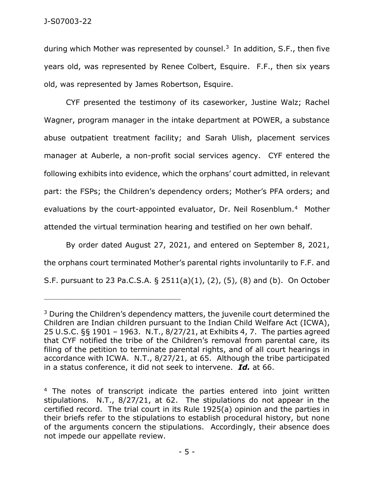during which Mother was represented by counsel.<sup>3</sup> In addition, S.F., then five years old, was represented by Renee Colbert, Esquire. F.F., then six years old, was represented by James Robertson, Esquire.

CYF presented the testimony of its caseworker, Justine Walz; Rachel Wagner, program manager in the intake department at POWER, a substance abuse outpatient treatment facility; and Sarah Ulish, placement services manager at Auberle, a non-profit social services agency. CYF entered the following exhibits into evidence, which the orphans' court admitted, in relevant part: the FSPs; the Children's dependency orders; Mother's PFA orders; and evaluations by the court-appointed evaluator, Dr. Neil Rosenblum.<sup>4</sup> Mother attended the virtual termination hearing and testified on her own behalf.

By order dated August 27, 2021, and entered on September 8, 2021, the orphans court terminated Mother's parental rights involuntarily to F.F. and S.F. pursuant to 23 Pa.C.S.A. § 2511(a)(1), (2), (5), (8) and (b). On October

<sup>&</sup>lt;sup>3</sup> During the Children's dependency matters, the juvenile court determined the Children are Indian children pursuant to the Indian Child Welfare Act (ICWA), 25 U.S.C. §§ 1901 – 1963. N.T., 8/27/21, at Exhibits 4, 7. The parties agreed that CYF notified the tribe of the Children's removal from parental care, its filing of the petition to terminate parental rights, and of all court hearings in accordance with ICWA. N.T., 8/27/21, at 65. Although the tribe participated in a status conference, it did not seek to intervene. *Id.* at 66.

<sup>&</sup>lt;sup>4</sup> The notes of transcript indicate the parties entered into joint written stipulations. N.T., 8/27/21, at 62. The stipulations do not appear in the certified record. The trial court in its Rule 1925(a) opinion and the parties in their briefs refer to the stipulations to establish procedural history, but none of the arguments concern the stipulations. Accordingly, their absence does not impede our appellate review.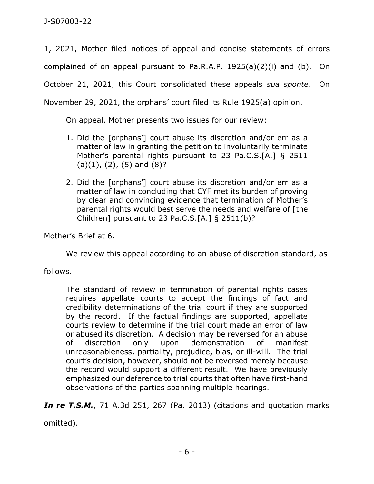1, 2021, Mother filed notices of appeal and concise statements of errors complained of on appeal pursuant to Pa.R.A.P. 1925(a)(2)(i) and (b). On

October 21, 2021, this Court consolidated these appeals *sua sponte*. On

November 29, 2021, the orphans' court filed its Rule 1925(a) opinion.

On appeal, Mother presents two issues for our review:

- 1. Did the [orphans'] court abuse its discretion and/or err as a matter of law in granting the petition to involuntarily terminate Mother's parental rights pursuant to 23 Pa.C.S.[A.] § 2511  $(a)(1)$ ,  $(2)$ ,  $(5)$  and  $(8)$ ?
- 2. Did the [orphans'] court abuse its discretion and/or err as a matter of law in concluding that CYF met its burden of proving by clear and convincing evidence that termination of Mother's parental rights would best serve the needs and welfare of [the Children] pursuant to 23 Pa.C.S.[A.] § 2511(b)?

Mother's Brief at 6.

We review this appeal according to an abuse of discretion standard, as

follows.

The standard of review in termination of parental rights cases requires appellate courts to accept the findings of fact and credibility determinations of the trial court if they are supported by the record. If the factual findings are supported, appellate courts review to determine if the trial court made an error of law or abused its discretion. A decision may be reversed for an abuse of discretion only upon demonstration of manifest unreasonableness, partiality, prejudice, bias, or ill-will. The trial court's decision, however, should not be reversed merely because the record would support a different result. We have previously emphasized our deference to trial courts that often have first-hand observations of the parties spanning multiple hearings.

**In re T.S.M.**, 71 A.3d 251, 267 (Pa. 2013) (citations and quotation marks

omitted).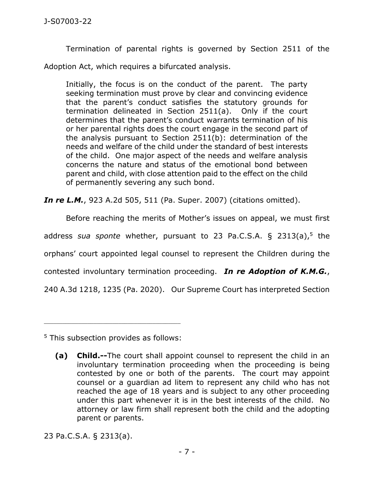Termination of parental rights is governed by Section 2511 of the Adoption Act, which requires a bifurcated analysis.

Initially, the focus is on the conduct of the parent. The party seeking termination must prove by clear and convincing evidence that the parent's conduct satisfies the statutory grounds for termination delineated in Section 2511(a). Only if the court determines that the parent's conduct warrants termination of his or her parental rights does the court engage in the second part of the analysis pursuant to Section 2511(b): determination of the needs and welfare of the child under the standard of best interests of the child. One major aspect of the needs and welfare analysis concerns the nature and status of the emotional bond between parent and child, with close attention paid to the effect on the child of permanently severing any such bond.

*In re L.M.*, 923 A.2d 505, 511 (Pa. Super. 2007) (citations omitted).

Before reaching the merits of Mother's issues on appeal, we must first

address *sua sponte* whether, pursuant to 23 [Pa.C.S.A.](https://1.next.westlaw.com/Link/Document/FullText?findType=L&pubNum=1000262&cite=PA23S2313&originatingDoc=I57679050891b11ecb8c3e5aec2742444&refType=SP&originationContext=document&transitionType=DocumentItem&ppcid=c2197ef7168048a79f4c1e0dbb3dbe83&contextData=(sc.Search)#co_pp_8b3b0000958a4) § 2313(a), 5 the

orphans' court appointed legal counsel to represent the Children during the

contested involuntary termination proceeding. *In re Adoption of K.M.G.*,

240 A.3d 1218, 1235 (Pa. 2020). Our Supreme Court has interpreted Section

<sup>5</sup> This subsection provides as follows:

\_\_\_\_\_\_\_\_\_\_\_\_\_\_\_\_\_\_\_\_\_\_\_\_\_\_\_\_\_\_\_\_\_\_\_\_\_\_\_\_\_\_\_\_

23 [Pa.C.S.A.](https://1.next.westlaw.com/Link/Document/FullText?findType=L&pubNum=1000262&cite=PA23S2313&originatingDoc=I57679050891b11ecb8c3e5aec2742444&refType=SP&originationContext=document&transitionType=DocumentItem&ppcid=c2197ef7168048a79f4c1e0dbb3dbe83&contextData=(sc.Search)#co_pp_8b3b0000958a4) § 2313(a).

**<sup>(</sup>a) Child.--**The court shall appoint counsel to represent the child in an involuntary termination proceeding when the proceeding is being contested by one or both of the parents. The court may appoint counsel or a guardian ad litem to represent any child who has not reached the age of 18 years and is subject to any other proceeding under this part whenever it is in the best interests of the child. No attorney or law firm shall represent both the child and the adopting parent or parents.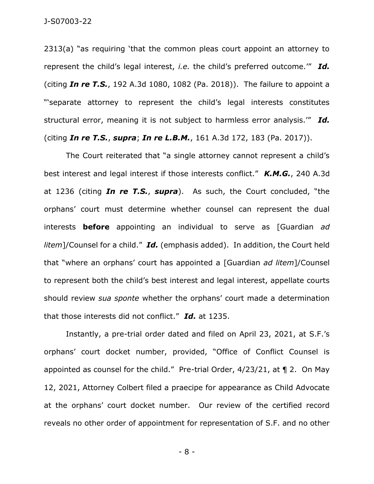2313(a) "as requiring 'that the common pleas court appoint an attorney to represent the child's legal interest, *i.e.* the child's preferred outcome.'" *Id.* (citing *In re T.S.*, 192 A.3d 1080, 1082 (Pa. 2018)). The failure to appoint a "'separate attorney to represent the child's legal interests constitutes structural error, meaning it is not subject to harmless error analysis.'" *Id.* (citing *In re T.S.*, *supra*; *In re L.B.M.*, 161 A.3d 172, 183 (Pa. 2017)).

The Court reiterated that "a single attorney cannot represent a child's best interest and legal interest if those interests conflict." *K.M.G.*, 240 A.3d at 1236 (citing *In re T.S.*, *supra*). As such, the Court concluded, "the orphans' court must determine whether counsel can represent the dual interests **before** appointing an individual to serve as [Guardian *ad litem*]/Counsel for a child." *Id.* (emphasis added). In addition, the Court held that "where an orphans' court has appointed a [Guardian *ad litem*]/Counsel to represent both the child's best interest and legal interest, appellate courts should review *sua sponte* whether the orphans' court made a determination that those interests did not conflict." *Id.* at 1235.

Instantly, a pre-trial order dated and filed on April 23, 2021, at S.F.'s orphans' court docket number, provided, "Office of Conflict Counsel is appointed as counsel for the child." Pre-trial Order, 4/23/21, at ¶ 2. On May 12, 2021, Attorney Colbert filed a praecipe for appearance as Child Advocate at the orphans' court docket number. Our review of the certified record reveals no other order of appointment for representation of S.F. and no other

- 8 -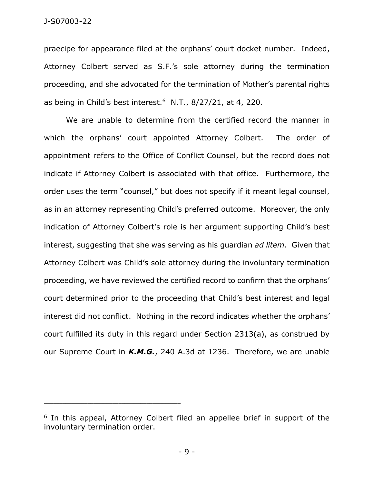praecipe for appearance filed at the orphans' court docket number. Indeed, Attorney Colbert served as S.F.'s sole attorney during the termination proceeding, and she advocated for the termination of Mother's parental rights as being in Child's best interest. $6$  N.T., 8/27/21, at 4, 220.

We are unable to determine from the certified record the manner in which the orphans' court appointed Attorney Colbert. The order of appointment refers to the Office of Conflict Counsel, but the record does not indicate if Attorney Colbert is associated with that office. Furthermore, the order uses the term "counsel," but does not specify if it meant legal counsel, as in an attorney representing Child's preferred outcome. Moreover, the only indication of Attorney Colbert's role is her argument supporting Child's best interest, suggesting that she was serving as his guardian *ad litem*. Given that Attorney Colbert was Child's sole attorney during the involuntary termination proceeding, we have reviewed the certified record to confirm that the orphans' court determined prior to the proceeding that Child's best interest and legal interest did not conflict. Nothing in the record indicates whether the orphans' court fulfilled its duty in this regard under Section 2313(a), as construed by our Supreme Court in *K.M.G.*, 240 A.3d at 1236. Therefore, we are unable

\_\_\_\_\_\_\_\_\_\_\_\_\_\_\_\_\_\_\_\_\_\_\_\_\_\_\_\_\_\_\_\_\_\_\_\_\_\_\_\_\_\_\_\_

<sup>&</sup>lt;sup>6</sup> In this appeal, Attorney Colbert filed an appellee brief in support of the involuntary termination order.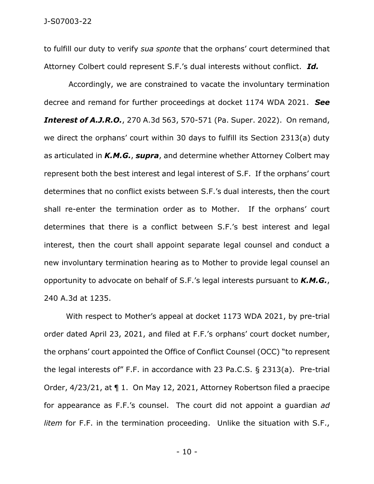to fulfill our duty to verify *sua sponte* that the orphans' court determined that Attorney Colbert could represent S.F.'s dual interests without conflict. *Id.*

Accordingly, we are constrained to vacate the involuntary termination decree and remand for further proceedings at docket 1174 WDA 2021. *See Interest of A.J.R.O.*, 270 A.3d 563, 570-571 (Pa. Super. 2022). On remand, we direct the orphans' court within 30 days to fulfill its Section 2313(a) duty as articulated in *K.M.G.*, *supra*, and determine whether Attorney Colbert may represent both the best interest and legal interest of S.F. If the orphans' court determines that no conflict exists between S.F.'s dual interests, then the court shall re-enter the termination order as to Mother. If the orphans' court determines that there is a conflict between S.F.'s best interest and legal interest, then the court shall appoint separate legal counsel and conduct a new involuntary termination hearing as to Mother to provide legal counsel an opportunity to advocate on behalf of S.F.'s legal interests pursuant to *K.M.G.*, 240 A.3d at 1235.

With respect to Mother's appeal at docket 1173 WDA 2021, by pre-trial order dated April 23, 2021, and filed at F.F.'s orphans' court docket number, the orphans' court appointed the Office of Conflict Counsel (OCC) "to represent the legal interests of" F.F. in accordance with 23 Pa.C.S. § 2313(a). Pre-trial Order, 4/23/21, at ¶ 1. On May 12, 2021, Attorney Robertson filed a praecipe for appearance as F.F.'s counsel. The court did not appoint a guardian *ad litem* for F.F. in the termination proceeding. Unlike the situation with S.F.,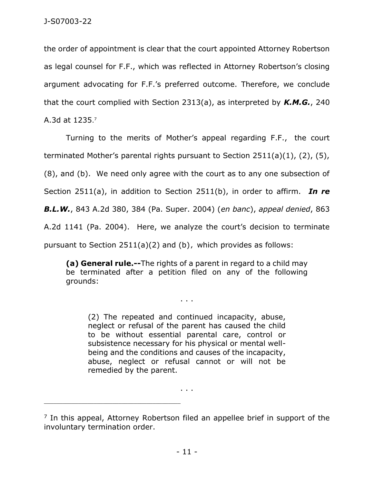the order of appointment is clear that the court appointed Attorney Robertson as legal counsel for F.F., which was reflected in Attorney Robertson's closing argument advocating for F.F.'s preferred outcome. Therefore, we conclude that the court complied with Section 2313(a), as interpreted by *K.M.G.*, 240 A.3d at 1235. 7

Turning to the merits of Mother's appeal regarding F.F., the court terminated Mother's parental rights pursuant to Section 2511(a)(1), (2), (5), (8), and (b). We need only agree with the court as to any one subsection of Section 2511(a), in addition to Section 2511(b), in order to affirm. *In re B.L.W.*, 843 A.2d 380, 384 (Pa. Super. 2004) (*en banc*), *appeal denied*, 863 A.2d 1141 (Pa. 2004). Here, we analyze the court's decision to terminate pursuant to Section 2511(a)(2) and (b), which provides as follows:

**(a) General rule.--**The rights of a parent in regard to a child may be terminated after a petition filed on any of the following grounds:

. . .

(2) The repeated and continued incapacity, abuse, neglect or refusal of the parent has caused the child to be without essential parental care, control or subsistence necessary for his physical or mental wellbeing and the conditions and causes of the incapacity, abuse, neglect or refusal cannot or will not be remedied by the parent.

 $\ldots$ 

\_\_\_\_\_\_\_\_\_\_\_\_\_\_\_\_\_\_\_\_\_\_\_\_\_\_\_\_\_\_\_\_\_\_\_\_\_\_\_\_\_\_\_\_

<sup>&</sup>lt;sup>7</sup> In this appeal, Attorney Robertson filed an appellee brief in support of the involuntary termination order.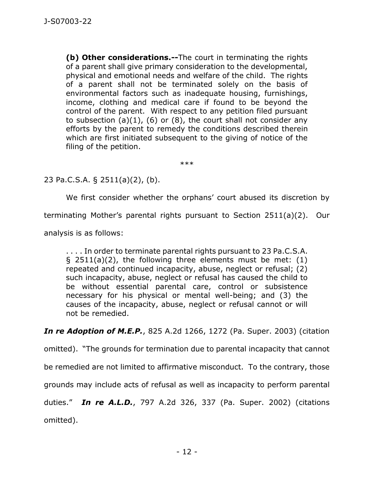**(b) Other considerations.--**The court in terminating the rights of a parent shall give primary consideration to the developmental, physical and emotional needs and welfare of the child. The rights of a parent shall not be terminated solely on the basis of environmental factors such as inadequate housing, furnishings, income, clothing and medical care if found to be beyond the control of the parent. With respect to any petition filed pursuant to subsection  $(a)(1)$ ,  $(b)$  or  $(8)$ , the court shall not consider any efforts by the parent to remedy the conditions described therein which are first initiated subsequent to the giving of notice of the filing of the petition.

\*\*\*

23 Pa.C.S.A. § 2511(a)(2), (b).

We first consider whether the orphans' court abused its discretion by

terminating Mother's parental rights pursuant to Section 2511(a)(2). Our

analysis is as follows:

. . . . In order to terminate parental rights pursuant to 23 Pa.C.S.A.  $\S$  2511(a)(2), the following three elements must be met: (1) repeated and continued incapacity, abuse, neglect or refusal; (2) such incapacity, abuse, neglect or refusal has caused the child to be without essential parental care, control or subsistence necessary for his physical or mental well-being; and (3) the causes of the incapacity, abuse, neglect or refusal cannot or will not be remedied.

*In re Adoption of M.E.P.*, 825 A.2d 1266, 1272 (Pa. Super. 2003) (citation

omitted). "The grounds for termination due to parental incapacity that cannot

be remedied are not limited to affirmative misconduct. To the contrary, those

grounds may include acts of refusal as well as incapacity to perform parental

duties." *In re A.L.D.*, 797 A.2d 326, 337 (Pa. Super. 2002) (citations omitted).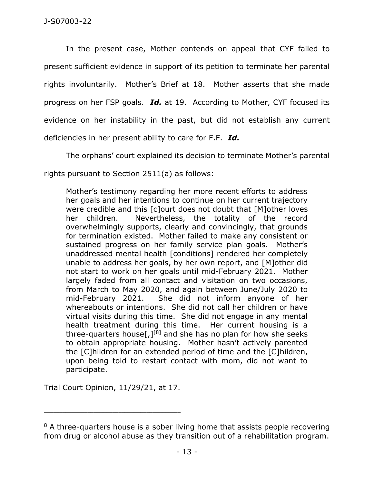In the present case, Mother contends on appeal that CYF failed to present sufficient evidence in support of its petition to terminate her parental rights involuntarily. Mother's Brief at 18. Mother asserts that she made progress on her FSP goals. *Id.* at 19. According to Mother, CYF focused its evidence on her instability in the past, but did not establish any current deficiencies in her present ability to care for F.F. *Id.*

The orphans' court explained its decision to terminate Mother's parental

rights pursuant to Section 2511(a) as follows:

Mother's testimony regarding her more recent efforts to address her goals and her intentions to continue on her current trajectory were credible and this [c]ourt does not doubt that [M]other loves her children. Nevertheless, the totality of the record overwhelmingly supports, clearly and convincingly, that grounds for termination existed. Mother failed to make any consistent or sustained progress on her family service plan goals. Mother's unaddressed mental health [conditions] rendered her completely unable to address her goals, by her own report, and [M]other did not start to work on her goals until mid-February 2021. Mother largely faded from all contact and visitation on two occasions, from March to May 2020, and again between June/July 2020 to mid-February 2021. She did not inform anyone of her whereabouts or intentions. She did not call her children or have virtual visits during this time. She did not engage in any mental health treatment during this time. Her current housing is a three-quarters house[ $J^{[8]}$  and she has no plan for how she seeks to obtain appropriate housing. Mother hasn't actively parented the [C]hildren for an extended period of time and the [C]hildren, upon being told to restart contact with mom, did not want to participate.

Trial Court Opinion, 11/29/21, at 17.

\_\_\_\_\_\_\_\_\_\_\_\_\_\_\_\_\_\_\_\_\_\_\_\_\_\_\_\_\_\_\_\_\_\_\_\_\_\_\_\_\_\_\_\_

<sup>&</sup>lt;sup>8</sup> A three-quarters house is a sober living home that assists people recovering from drug or alcohol abuse as they transition out of a rehabilitation program.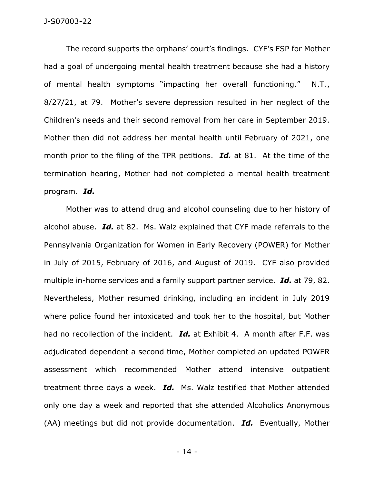The record supports the orphans' court's findings. CYF's FSP for Mother had a goal of undergoing mental health treatment because she had a history of mental health symptoms "impacting her overall functioning." N.T., 8/27/21, at 79. Mother's severe depression resulted in her neglect of the Children's needs and their second removal from her care in September 2019. Mother then did not address her mental health until February of 2021, one month prior to the filing of the TPR petitions. *Id.* at 81. At the time of the termination hearing, Mother had not completed a mental health treatment program. *Id.* 

Mother was to attend drug and alcohol counseling due to her history of alcohol abuse. *Id.* at 82. Ms. Walz explained that CYF made referrals to the Pennsylvania Organization for Women in Early Recovery (POWER) for Mother in July of 2015, February of 2016, and August of 2019. CYF also provided multiple in-home services and a family support partner service. *Id.* at 79, 82. Nevertheless, Mother resumed drinking, including an incident in July 2019 where police found her intoxicated and took her to the hospital, but Mother had no recollection of the incident. *Id.* at Exhibit 4. A month after F.F. was adjudicated dependent a second time, Mother completed an updated POWER assessment which recommended Mother attend intensive outpatient treatment three days a week. *Id.* Ms. Walz testified that Mother attended only one day a week and reported that she attended Alcoholics Anonymous (AA) meetings but did not provide documentation. *Id.* Eventually, Mother

- 14 -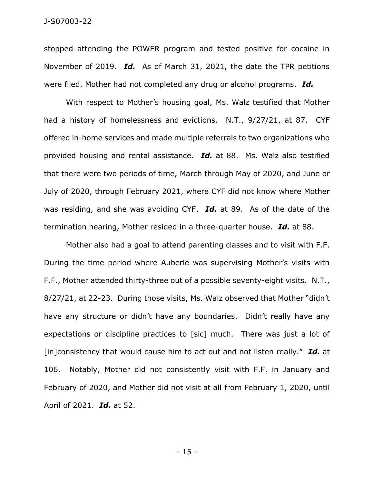stopped attending the POWER program and tested positive for cocaine in November of 2019. *Id.* As of March 31, 2021, the date the TPR petitions were filed, Mother had not completed any drug or alcohol programs. *Id.* 

With respect to Mother's housing goal, Ms. Walz testified that Mother had a history of homelessness and evictions. N.T., 9/27/21, at 87. CYF offered in-home services and made multiple referrals to two organizations who provided housing and rental assistance. *Id.* at 88. Ms. Walz also testified that there were two periods of time, March through May of 2020, and June or July of 2020, through February 2021, where CYF did not know where Mother was residing, and she was avoiding CYF. *Id.* at 89. As of the date of the termination hearing, Mother resided in a three-quarter house. *Id.* at 88.

Mother also had a goal to attend parenting classes and to visit with F.F. During the time period where Auberle was supervising Mother's visits with F.F., Mother attended thirty-three out of a possible seventy-eight visits. N.T., 8/27/21, at 22-23. During those visits, Ms. Walz observed that Mother "didn't have any structure or didn't have any boundaries. Didn't really have any expectations or discipline practices to [sic] much. There was just a lot of [in]consistency that would cause him to act out and not listen really." *Id.* at 106. Notably, Mother did not consistently visit with F.F. in January and February of 2020, and Mother did not visit at all from February 1, 2020, until April of 2021. *Id.* at 52.

- 15 -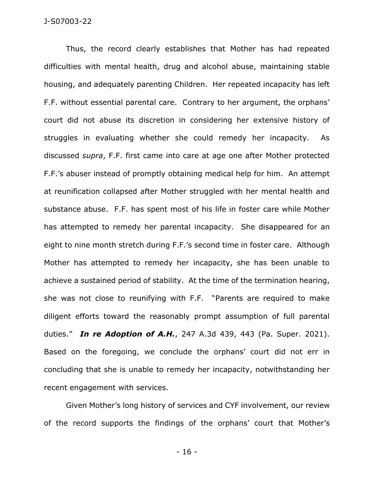Thus, the record clearly establishes that Mother has had repeated difficulties with mental health, drug and alcohol abuse, maintaining stable housing, and adequately parenting Children. Her repeated incapacity has left F.F. without essential parental care. Contrary to her argument, the orphans' court did not abuse its discretion in considering her extensive history of struggles in evaluating whether she could remedy her incapacity. As discussed *supra*, F.F. first came into care at age one after Mother protected F.F.'s abuser instead of promptly obtaining medical help for him. An attempt at reunification collapsed after Mother struggled with her mental health and substance abuse. F.F. has spent most of his life in foster care while Mother has attempted to remedy her parental incapacity. She disappeared for an eight to nine month stretch during F.F.'s second time in foster care. Although Mother has attempted to remedy her incapacity, she has been unable to achieve a sustained period of stability. At the time of the termination hearing, she was not close to reunifying with F.F. "Parents are required to make diligent efforts toward the reasonably prompt assumption of full parental duties." *In re Adoption of A.H.*, 247 A.3d 439, 443 (Pa. Super. 2021). Based on the foregoing, we conclude the orphans' court did not err in concluding that she is unable to remedy her incapacity, notwithstanding her recent engagement with services.

Given Mother's long history of services and CYF involvement, our review of the record supports the findings of the orphans' court that Mother's

- 16 -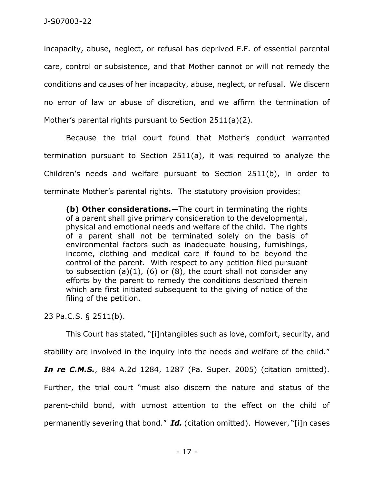incapacity, abuse, neglect, or refusal has deprived F.F. of essential parental care, control or subsistence, and that Mother cannot or will not remedy the conditions and causes of her incapacity, abuse, neglect, or refusal. We discern no error of law or abuse of discretion, and we affirm the termination of Mother's parental rights pursuant to Section 2511(a)(2).

Because the trial court found that Mother's conduct warranted termination pursuant to Section 2511(a), it was required to analyze the Children's needs and welfare pursuant to Section 2511(b), in order to terminate Mother's parental rights. The statutory provision provides:

**(b) Other considerations.―**The court in terminating the rights of a parent shall give primary consideration to the developmental, physical and emotional needs and welfare of the child. The rights of a parent shall not be terminated solely on the basis of environmental factors such as inadequate housing, furnishings, income, clothing and medical care if found to be beyond the control of the parent. With respect to any petition filed pursuant to subsection  $(a)(1)$ ,  $(b)$  or  $(8)$ , the court shall not consider any efforts by the parent to remedy the conditions described therein which are first initiated subsequent to the giving of notice of the filing of the petition.

23 Pa.C.S. § 2511(b).

This Court has stated, "[i]ntangibles such as love, comfort, security, and stability are involved in the inquiry into the needs and welfare of the child." *In re C.M.S.*, 884 A.2d 1284, 1287 (Pa. Super. 2005) (citation omitted). Further, the trial court "must also discern the nature and status of the parent-child bond, with utmost attention to the effect on the child of permanently severing that bond." *Id.* (citation omitted). However, "[i]n cases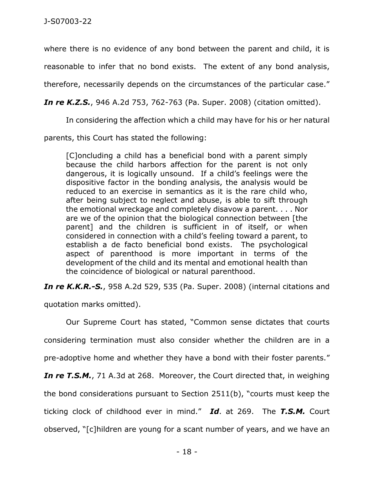where there is no evidence of any bond between the parent and child, it is reasonable to infer that no bond exists. The extent of any bond analysis,

therefore, necessarily depends on the circumstances of the particular case."

*In re K.Z.S.*, 946 A.2d 753, 762-763 (Pa. Super. 2008) (citation omitted).

In considering the affection which a child may have for his or her natural

parents, this Court has stated the following:

[C]oncluding a child has a beneficial bond with a parent simply because the child harbors affection for the parent is not only dangerous, it is logically unsound. If a child's feelings were the dispositive factor in the bonding analysis, the analysis would be reduced to an exercise in semantics as it is the rare child who, after being subject to neglect and abuse, is able to sift through the emotional wreckage and completely disavow a parent. . . . Nor are we of the opinion that the biological connection between [the parent] and the children is sufficient in of itself, or when considered in connection with a child's feeling toward a parent, to establish a de facto beneficial bond exists. The psychological aspect of parenthood is more important in terms of the development of the child and its mental and emotional health than the coincidence of biological or natural parenthood.

*In re K.K.R.-S.*, 958 A.2d 529, 535 (Pa. Super. 2008) (internal citations and

quotation marks omitted).

Our Supreme Court has stated, "Common sense dictates that courts considering termination must also consider whether the children are in a pre-adoptive home and whether they have a bond with their foster parents." *In re T.S.M.*, 71 A.3d at 268. Moreover, the Court directed that, in weighing the bond considerations pursuant to Section 2511(b), "courts must keep the ticking clock of childhood ever in mind." *Id*. at 269. The *T.S.M.* Court observed, "[c]hildren are young for a scant number of years, and we have an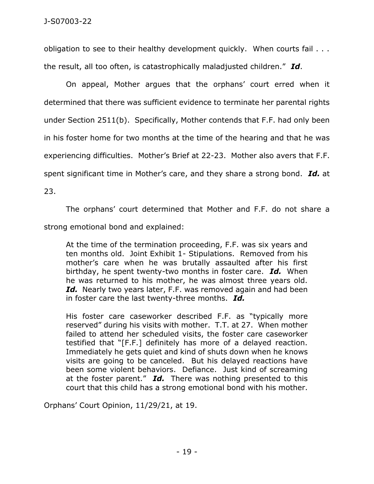obligation to see to their healthy development quickly. When courts fail . . . the result, all too often, is catastrophically maladjusted children." *Id*.

On appeal, Mother argues that the orphans' court erred when it determined that there was sufficient evidence to terminate her parental rights under Section 2511(b). Specifically, Mother contends that F.F. had only been in his foster home for two months at the time of the hearing and that he was experiencing difficulties. Mother's Brief at 22-23. Mother also avers that F.F. spent significant time in Mother's care, and they share a strong bond. *Id.* at

23.

The orphans' court determined that Mother and F.F. do not share a strong emotional bond and explained:

At the time of the termination proceeding, F.F. was six years and ten months old. Joint Exhibit 1- Stipulations. Removed from his mother's care when he was brutally assaulted after his first birthday, he spent twenty-two months in foster care. *Id.* When he was returned to his mother, he was almost three years old. *Id.* Nearly two years later, F.F. was removed again and had been in foster care the last twenty-three months. *Id.*

His foster care caseworker described F.F. as "typically more reserved" during his visits with mother. T.T. at 27. When mother failed to attend her scheduled visits, the foster care caseworker testified that "[F.F.] definitely has more of a delayed reaction. Immediately he gets quiet and kind of shuts down when he knows visits are going to be canceled. But his delayed reactions have been some violent behaviors. Defiance. Just kind of screaming at the foster parent." *Id.* There was nothing presented to this court that this child has a strong emotional bond with his mother.

Orphans' Court Opinion, 11/29/21, at 19.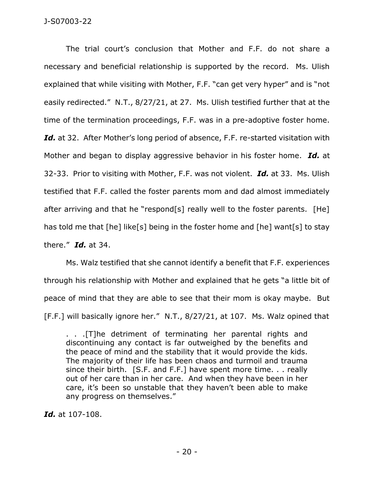The trial court's conclusion that Mother and F.F. do not share a necessary and beneficial relationship is supported by the record. Ms. Ulish explained that while visiting with Mother, F.F. "can get very hyper" and is "not easily redirected." N.T., 8/27/21, at 27. Ms. Ulish testified further that at the time of the termination proceedings, F.F. was in a pre-adoptive foster home. Id. at 32. After Mother's long period of absence, F.F. re-started visitation with Mother and began to display aggressive behavior in his foster home. *Id.* at 32-33. Prior to visiting with Mother, F.F. was not violent. *Id.* at 33. Ms. Ulish testified that F.F. called the foster parents mom and dad almost immediately after arriving and that he "respond[s] really well to the foster parents. [He] has told me that [he] like[s] being in the foster home and [he] want[s] to stay there." *Id.* at 34.

Ms. Walz testified that she cannot identify a benefit that F.F. experiences through his relationship with Mother and explained that he gets "a little bit of peace of mind that they are able to see that their mom is okay maybe. But [F.F.] will basically ignore her." N.T., 8/27/21, at 107. Ms. Walz opined that

. . .[T]he detriment of terminating her parental rights and discontinuing any contact is far outweighed by the benefits and the peace of mind and the stability that it would provide the kids. The majority of their life has been chaos and turmoil and trauma since their birth. [S.F. and F.F.] have spent more time. . . really out of her care than in her care. And when they have been in her care, it's been so unstable that they haven't been able to make any progress on themselves."

*Id.* at 107-108.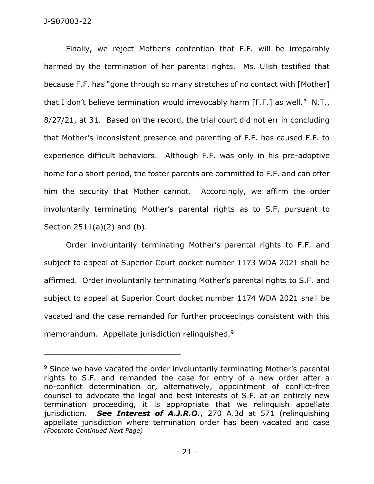Finally, we reject Mother's contention that F.F. will be irreparably harmed by the termination of her parental rights. Ms. Ulish testified that because F.F. has "gone through so many stretches of no contact with [Mother] that I don't believe termination would irrevocably harm [F.F.] as well." N.T., 8/27/21, at 31. Based on the record, the trial court did not err in concluding that Mother's inconsistent presence and parenting of F.F. has caused F.F. to experience difficult behaviors. Although F.F. was only in his pre-adoptive home for a short period, the foster parents are committed to F.F. and can offer him the security that Mother cannot. Accordingly, we affirm the order involuntarily terminating Mother's parental rights as to S.F. pursuant to Section 2511(a)(2) and (b).

Order involuntarily terminating Mother's parental rights to F.F. and subject to appeal at Superior Court docket number 1173 WDA 2021 shall be affirmed. Order involuntarily terminating Mother's parental rights to S.F. and subject to appeal at Superior Court docket number 1174 WDA 2021 shall be vacated and the case remanded for further proceedings consistent with this memorandum. Appellate jurisdiction relinquished.<sup>9</sup>

<sup>&</sup>lt;sup>9</sup> Since we have vacated the order involuntarily terminating Mother's parental rights to S.F. and remanded the case for entry of a new order after a no-conflict determination or, alternatively, appointment of conflict-free counsel to advocate the legal and best interests of S.F. at an entirely new termination proceeding, it is appropriate that we relinquish appellate jurisdiction. *See Interest of A.J.R.O.*, 270 A.3d at 571 (relinquishing appellate jurisdiction where termination order has been vacated and case *(Footnote Continued Next Page)*